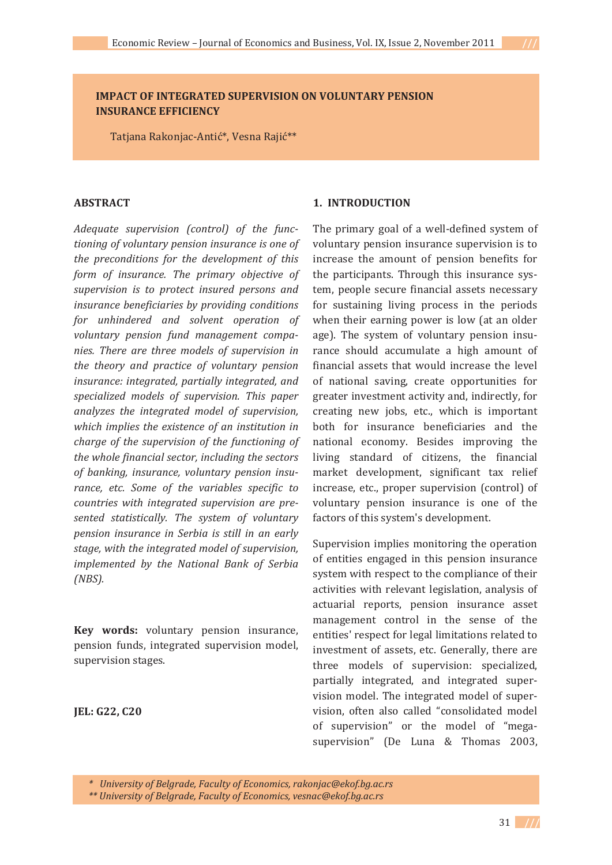#### **IMPACT OF INTEGRATED SUPERVISION ON VOLUNTARY PENSION INSURANCE EFFICIENCY**

Tatjana Rakonjac-Antić\*, Vesna Rajić\*\*

#### **ABSTRACT**

*Adequate supervision (control) of the funcǦ tioning of voluntary pension insurance is one of the preconditions for the development of this form of insurance. The primary objective of supervision is to protect insured persons and insurance beneficiaries by providing conditions for unhindered and solvent operation of voluntary pension fund management companies. There are three models of supervision in the theory and practice of voluntary pension insurance: integrated, partially integrated, and specialized models of supervision. This paper analyzes the integrated model of supervision, which implies the existence of an institution in charge of the supervision of the functioning of the whole financial sector, including the sectors of banking, insurance, voluntary pension insuǦ rance, etc. Some of the variables specific to countries with integrated supervision are preǦ sented statistically. The system of voluntary pension insurance in Serbia is still in an early stage, with the integrated model of supervision, implemented by the National Bank of Serbia (NBS).*

**Key words:** voluntary pension insurance, pension funds, integrated supervision model, supervision stages.

**JEL: G22, C20**

#### **1.INTRODUCTION**

The primary goal of a well-defined system of voluntary pension insurance supervision is to increase the amount of pension benefits for the participants. Through this insurance system, people secure financial assets necessary for sustaining living process in the periods when their earning power is low (at an older age). The system of voluntary pension insurance should accumulate a high amount of financial assets that would increase the level of national saving, create opportunities for greater investment activity and, indirectly, for creating new jobs, etc., which is important both for insurance beneficiaries and the national economy. Besides improving the living standard of citizens, the financial market development, significant tax relief increase, etc., proper supervision (control) of voluntary pension insurance is one of the factors of this system's development.

Supervision implies monitoring the operation of entities engaged in this pension insurance system with respect to the compliance of their activities with relevant legislation, analysis of actuarial reports, pension insurance asset management control in the sense of the entities' respect for legal limitations related to investment of assets, etc. Generally, there are three models of supervision: specialized, partially integrated, and integrated supervision model. The integrated model of supervision, often also called "consolidated model of supervision" or the model of "megasupervision" (De Luna & Thomas 2003,

*\*University of Belgrade, Faculty of Economics, rakonjac@ekof.bg.ac.rs*

*\*\* University of Belgrade, Faculty of Economics, vesnac@ekof.bg.ac.rs*

 $31$  ///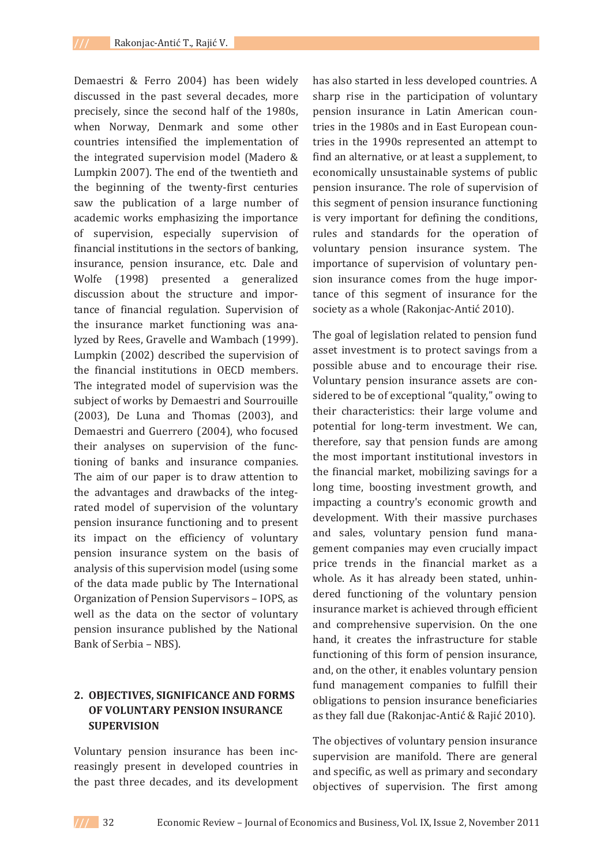Demaestri & Ferro 2004) has been widely discussed in the past several decades, more precisely, since the second half of the 1980s, when Norway, Denmark and some other countries intensified the implementation of the integrated supervision model (Madero & Lumpkin 2007). The end of the twentieth and the beginning of the twenty-first centuries saw the publication of a large number of academic works emphasizing the importance of supervision, especially supervision of financial institutions in the sectors of banking. insurance, pension insurance, etc. Dale and Wolfe (1998) presented a generalized discussion about the structure and importance of financial regulation. Supervision of the insurance market functioning was analyzed by Rees, Gravelle and Wambach (1999). Lumpkin (2002) described the supervision of the financial institutions in OECD members. The integrated model of supervision was the subject of works by Demaestri and Sourrouille  $(2003)$ , De Luna and Thomas  $(2003)$ , and Demaestri and Guerrero (2004), who focused their analyses on supervision of the functioning of banks and insurance companies. The aim of our paper is to draw attention to the advantages and drawbacks of the integrated model of supervision of the voluntary pension insurance functioning and to present its impact on the efficiency of voluntary pension insurance system on the basis of analysis of this supervision model (using some of the data made public by The International Organization of Pension Supervisors - IOPS, as well as the data on the sector of voluntary pension insurance published by the National Bank of Serbia - NBS).

### **2.OBJECTIVES, SIGNIFICANCE AND FORMS OF VOLUNTARY PENSION INSURANCE SUPERVISION**

Voluntary pension insurance has been increasingly present in developed countries in the past three decades, and its development has also started in less developed countries. A sharp rise in the participation of voluntary pension insurance in Latin American countries in the 1980s and in East European countries in the 1990s represented an attempt to find an alternative, or at least a supplement, to economically unsustainable systems of public pension insurance. The role of supervision of this segment of pension insurance functioning is very important for defining the conditions, rules and standards for the operation of voluntary pension insurance system. The importance of supervision of voluntary pension insurance comes from the huge importance of this segment of insurance for the society as a whole (Rakonjac-Antić 2010).

The goal of legislation related to pension fund asset investment is to protect savings from a possible abuse and to encourage their rise. Voluntary pension insurance assets are considered to be of exceptional "quality," owing to their characteristics: their large volume and potential for long-term investment. We can, therefore, say that pension funds are among the most important institutional investors in the financial market, mobilizing savings for a long time, boosting investment growth, and impacting a country's economic growth and development. With their massive purchases and sales, voluntary pension fund management companies may even crucially impact price trends in the financial market as a whole. As it has already been stated, unhindered functioning of the voluntary pension insurance market is achieved through efficient and comprehensive supervision. On the one hand, it creates the infrastructure for stable functioning of this form of pension insurance, and, on the other, it enables voluntary pension fund management companies to fulfill their obligations to pension insurance beneficiaries as they fall due (Rakonjac-Antić & Rajić 2010).

The objectives of voluntary pension insurance supervision are manifold. There are general and specific, as well as primary and secondary objectives of supervision. The first among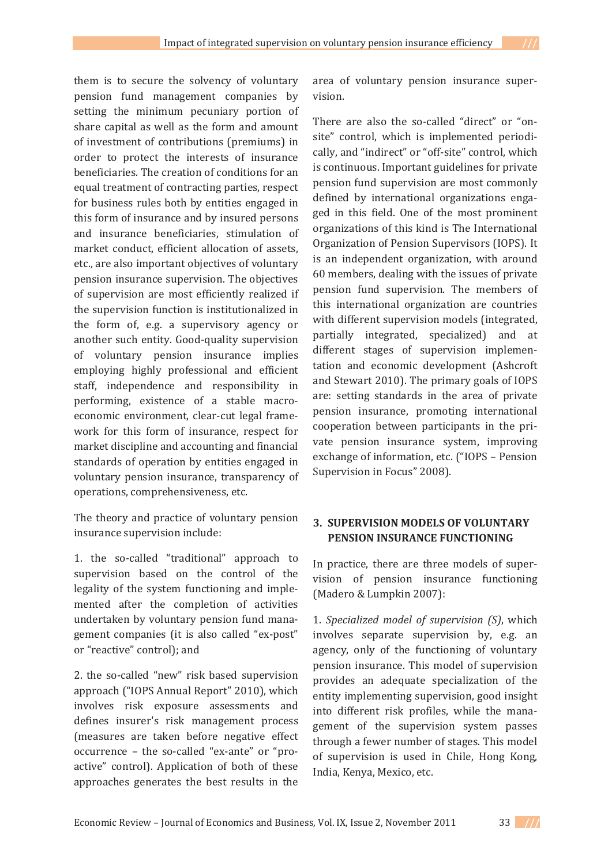them is to secure the solvency of voluntary pension fund management companies by setting the minimum pecuniary portion of share capital as well as the form and amount of investment of contributions (premiums) in order to protect the interests of insurance beneficiaries. The creation of conditions for an equal treatment of contracting parties, respect for business rules both by entities engaged in this form of insurance and by insured persons and insurance beneficiaries, stimulation of market conduct, efficient allocation of assets, etc., are also important objectives of voluntary pension insurance supervision. The objectives of supervision are most efficiently realized if the supervision function is institutionalized in the form of, e.g. a supervisory agency or another such entity. Good-quality supervision of voluntary pension insurance implies employing highly professional and efficient staff, independence and responsibility in performing, existence of a stable macroeconomic environment, clear-cut legal framework for this form of insurance, respect for market discipline and accounting and financial standards of operation by entities engaged in voluntary pension insurance, transparency of operations, comprehensiveness, etc.

The theory and practice of voluntary pension insurance supervision include:

1. the so-called "traditional" approach to supervision based on the control of the legality of the system functioning and implemented after the completion of activities undertaken by voluntary pension fund management companies (it is also called "ex-post" or "reactive" control); and

2. the so-called "new" risk based supervision approach ("IOPS Annual Report" 2010), which involves risk exposure assessments and defines insurer's risk management process (measures are taken before negative effect occurrence - the so-called "ex-ante" or "proactive" control). Application of both of these approaches generates the best results in the

area of voluntary pension insurance supervision.

There are also the so-called "direct" or "onsite" control, which is implemented periodically, and "indirect" or "off-site" control, which is continuous. Important guidelines for private pension fund supervision are most commonly defined by international organizations engaged in this field. One of the most prominent organizations of this kind is The International Organization of Pension Supervisors (IOPS). It is an independent organization, with around 60 members, dealing with the issues of private pension fund supervision. The members of this international organization are countries with different supervision models (integrated, partially integrated, specialized) and at different stages of supervision implementation and economic development (Ashcroft and Stewart 2010). The primary goals of IOPS are: setting standards in the area of private pension insurance, promoting international cooperation between participants in the private pension insurance system, improving exchange of information, etc. ("IOPS - Pension Supervision in Focus" 2008).

# **3.SUPERVISION MODELS OF VOLUNTARY PENSION INSURANCE FUNCTIONING**

In practice, there are three models of supervision of pension insurance functioning (Madero & Lumpkin 2007):

1. *Specialized model of supervision (S)*, which involves separate supervision by, e.g. an agency, only of the functioning of voluntary pension insurance. This model of supervision provides an adequate specialization of the entity implementing supervision, good insight into different risk profiles, while the management of the supervision system passes through a fewer number of stages. This model of supervision is used in Chile, Hong Kong, India, Kenya, Mexico, etc.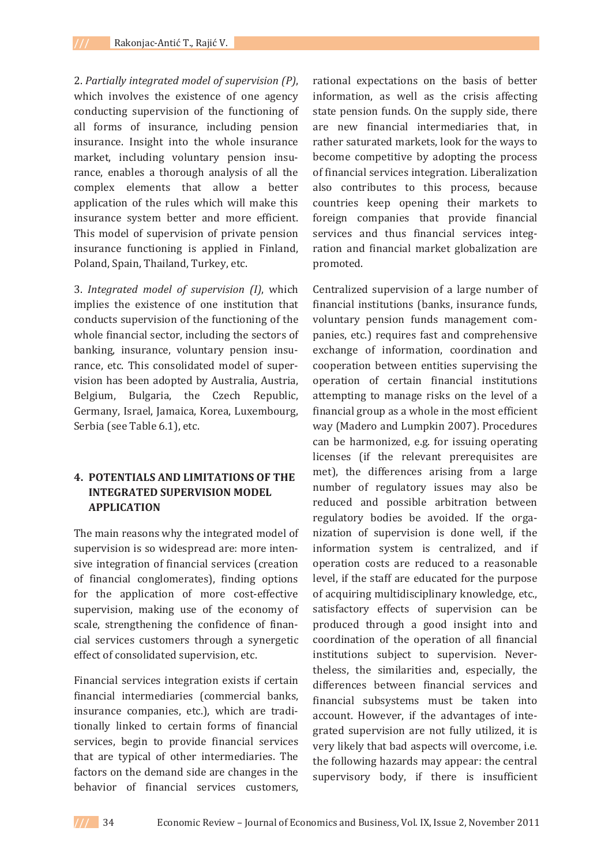ʹǤ*Partially integrated model of supervision (P)*ǡ which involves the existence of one agency conducting supervision of the functioning of all forms of insurance, including pension insurance. Insight into the whole insurance market, including voluntary pension insurance, enables a thorough analysis of all the complex elements that allow a better application of the rules which will make this insurance system better and more efficient. This model of supervision of private pension insurance functioning is applied in Finland, Poland, Spain, Thailand, Turkey, etc.

3. *Integrated model of supervision (I)*, which implies the existence of one institution that conducts supervision of the functioning of the whole financial sector, including the sectors of banking, insurance, voluntary pension insurance, etc. This consolidated model of supervision has been adopted by Australia, Austria, Belgium, Bulgaria, the Czech Republic, Germany, Israel, Jamaica, Korea, Luxembourg, Serbia (see Table 6.1), etc.

### **4.POTENTIALS AND LIMITATIONS OF THE INTEGRATED SUPERVISION MODEL APPLICATION**

The main reasons why the integrated model of supervision is so widespread are: more intensive integration of financial services (creation of financial conglomerates), finding options for the application of more cost-effective supervision, making use of the economy of scale, strengthening the confidence of financial services customers through a synergetic effect of consolidated supervision, etc.

Financial services integration exists if certain financial intermediaries (commercial banks, insurance companies, etc.), which are traditionally linked to certain forms of financial services, begin to provide financial services that are typical of other intermediaries. The factors on the demand side are changes in the behavior of financial services customers,

rational expectations on the basis of better information, as well as the crisis affecting state pension funds. On the supply side, there are new financial intermediaries that, in rather saturated markets, look for the ways to become competitive by adopting the process of financial services integration. Liberalization also contributes to this process, because countries keep opening their markets to foreign companies that provide financial services and thus financial services integration and financial market globalization are promoted.

Centralized supervision of a large number of financial institutions (banks, insurance funds, voluntary pension funds management companies, etc.) requires fast and comprehensive exchange of information, coordination and cooperation between entities supervising the operation of certain financial institutions attempting to manage risks on the level of a financial group as a whole in the most efficient way (Madero and Lumpkin 2007). Procedures can be harmonized, e.g. for issuing operating licenses (if the relevant prerequisites are met), the differences arising from a large number of regulatory issues may also be reduced and possible arbitration between regulatory bodies be avoided. If the organization of supervision is done well, if the information system is centralized, and if operation costs are reduced to a reasonable level, if the staff are educated for the purpose of acquiring multidisciplinary knowledge, etc., satisfactory effects of supervision can be produced through a good insight into and coordination of the operation of all financial institutions subject to supervision. Nevertheless, the similarities and, especially, the differences between financial services and financial subsystems must be taken into account. However, if the advantages of integrated supervision are not fully utilized, it is very likely that bad aspects will overcome, i.e. the following hazards may appear: the central supervisory body, if there is insufficient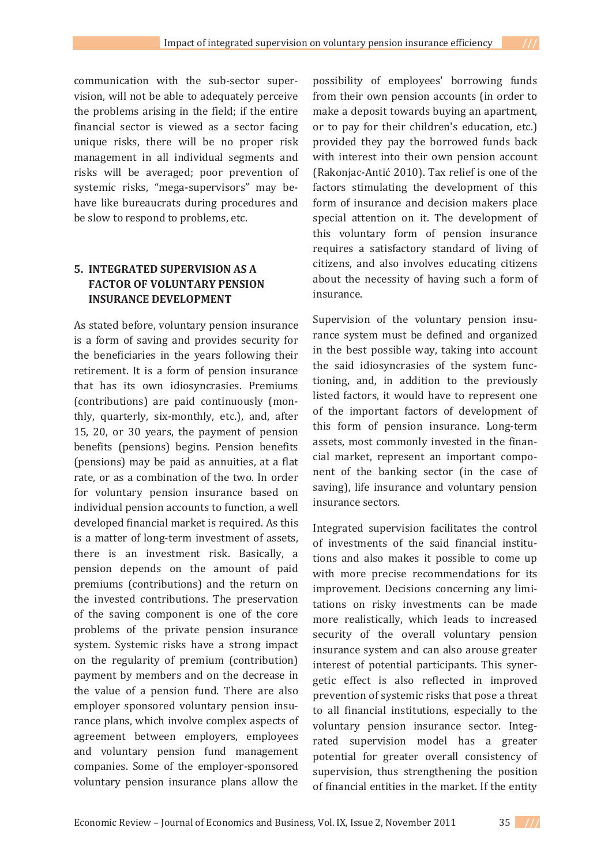communication with the sub-sector supervision, will not be able to adequately perceive the problems arising in the field; if the entire financial sector is viewed as a sector facing unique risks, there will be no proper risk management in all individual segments and risks will be averaged; poor prevention of systemic risks, "mega-supervisors" may behave like bureaucrats during procedures and be slow to respond to problems, etc.

## **5.INTEGRATED SUPERVISION AS A FACTOR OF VOLUNTARY PENSION INSURANCE DEVELOPMENT**

As stated before, voluntary pension insurance is a form of saving and provides security for the beneficiaries in the years following their retirement. It is a form of pension insurance that has its own idiosyncrasies. Premiums (contributions) are paid continuously (monthly, quarterly, six-monthly, etc.), and, after 15, 20, or 30 years, the payment of pension benefits (pensions) begins. Pension benefits (pensions) may be paid as annuities, at a flat rate, or as a combination of the two. In order for voluntary pension insurance based on individual pension accounts to function, a well developed financial market is required. As this is a matter of long-term investment of assets, there is an investment risk. Basically, a pension depends on the amount of paid premiums (contributions) and the return on the invested contributions. The preservation of the saving component is one of the core problems of the private pension insurance system. Systemic risks have a strong impact on the regularity of premium (contribution) payment by members and on the decrease in the value of a pension fund. There are also employer sponsored voluntary pension insurance plans, which involve complex aspects of agreement between employers, employees and voluntary pension fund management companies. Some of the employer-sponsored voluntary pension insurance plans allow the

possibility of employees' borrowing funds from their own pension accounts (in order to make a deposit towards buying an apartment, or to pay for their children's education, etc.) provided they pay the borrowed funds back with interest into their own pension account (Rakonjac-Antić 2010). Tax relief is one of the factors stimulating the development of this form of insurance and decision makers place special attention on it. The development of this voluntary form of pension insurance requires a satisfactory standard of living of citizens, and also involves educating citizens about the necessity of having such a form of insurance.

Supervision of the voluntary pension insurance system must be defined and organized in the best possible way, taking into account the said idiosyncrasies of the system functioning, and, in addition to the previously listed factors, it would have to represent one of the important factors of development of this form of pension insurance. Long-term assets, most commonly invested in the financial market, represent an important component of the banking sector (in the case of saving), life insurance and voluntary pension insurance sectors.

Integrated supervision facilitates the control of investments of the said financial institutions and also makes it possible to come up with more precise recommendations for its improvement. Decisions concerning any limitations on risky investments can be made more realistically, which leads to increased security of the overall voluntary pension insurance system and can also arouse greater interest of potential participants. This synergetic effect is also reflected in improved prevention of systemic risks that pose a threat to all financial institutions, especially to the voluntary pension insurance sector. Integrated supervision model has a greater potential for greater overall consistency of supervision, thus strengthening the position of financial entities in the market. If the entity

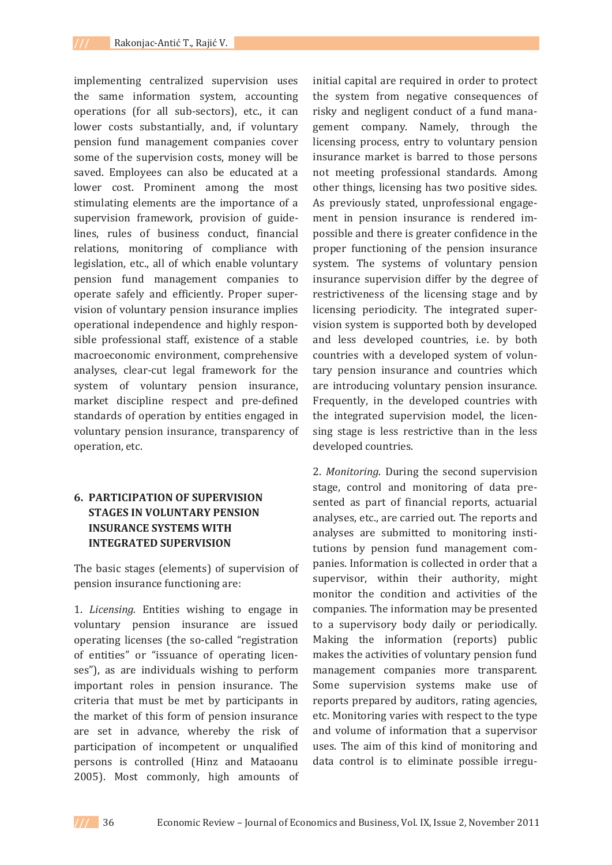implementing centralized supervision uses the same information system, accounting operations (for all sub-sectors), etc., it can lower costs substantially, and, if voluntary pension fund management companies cover some of the supervision costs, money will be saved. Employees can also be educated at a lower cost. Prominent among the most stimulating elements are the importance of a supervision framework, provision of guidelines, rules of business conduct, financial relations, monitoring of compliance with legislation, etc., all of which enable voluntary pension fund management companies to operate safely and efficiently. Proper supervision of voluntary pension insurance implies operational independence and highly responsible professional staff, existence of a stable macroeconomic environment, comprehensive analyses, clear-cut legal framework for the system of voluntary pension insurance, market discipline respect and pre-defined standards of operation by entities engaged in voluntary pension insurance, transparency of operation, etc.

### **6.PARTICIPATION OF SUPERVISION STAGES IN VOLUNTARY PENSION INSURANCE SYSTEMS WITH INTEGRATED SUPERVISION**

The basic stages (elements) of supervision of pension insurance functioning are:

1. *Licensing*. Entities wishing to engage in voluntary pension insurance are issued operating licenses (the so-called "registration" of entities" or "issuance of operating licenses"), as are individuals wishing to perform important roles in pension insurance. The criteria that must be met by participants in the market of this form of pension insurance are set in advance, whereby the risk of participation of incompetent or unqualified persons is controlled (Hinz and Mataoanu 2005). Most commonly, high amounts of

initial capital are required in order to protect the system from negative consequences of risky and negligent conduct of a fund management company. Namely, through the licensing process, entry to voluntary pension insurance market is barred to those persons not meeting professional standards. Among other things, licensing has two positive sides. As previously stated, unprofessional engagement in pension insurance is rendered impossible and there is greater confidence in the proper functioning of the pension insurance system. The systems of voluntary pension insurance supervision differ by the degree of restrictiveness of the licensing stage and by licensing periodicity. The integrated supervision system is supported both by developed and less developed countries, i.e. by both countries with a developed system of voluntary pension insurance and countries which are introducing voluntary pension insurance. Frequently, in the developed countries with the integrated supervision model, the licensing stage is less restrictive than in the less developed countries.

2. *Monitoring*. During the second supervision stage, control and monitoring of data presented as part of financial reports, actuarial analyses, etc., are carried out. The reports and analyses are submitted to monitoring institutions by pension fund management companies. Information is collected in order that a supervisor, within their authority, might monitor the condition and activities of the companies. The information may be presented to a supervisory body daily or periodically. Making the information (reports) public makes the activities of voluntary pension fund management companies more transparent. Some supervision systems make use of reports prepared by auditors, rating agencies, etc. Monitoring varies with respect to the type and volume of information that a supervisor uses. The aim of this kind of monitoring and data control is to eliminate possible irregu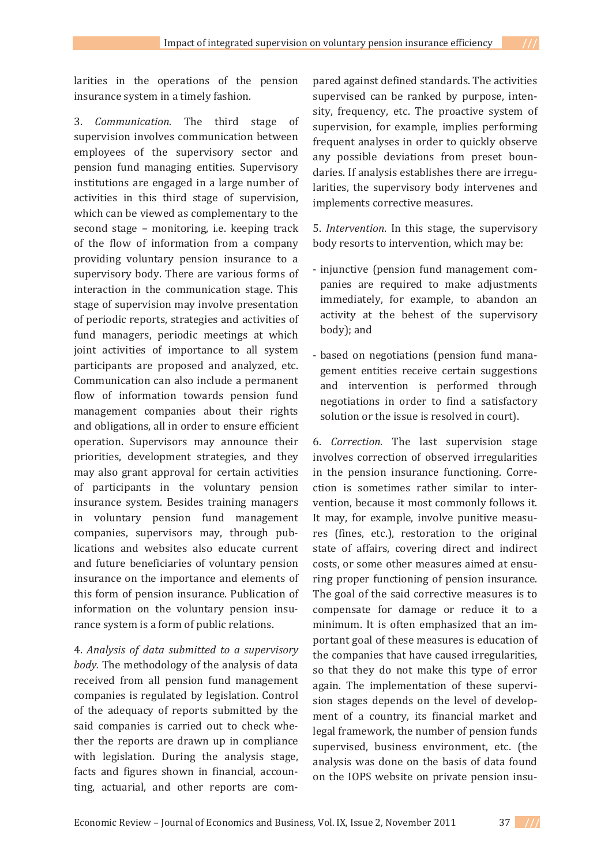larities in the operations of the pension insurance system in a timely fashion.

3. *Communication*. The third stage of supervision involves communication between employees of the supervisory sector and pension fund managing entities. Supervisory institutions are engaged in a large number of activities in this third stage of supervision, which can be viewed as complementary to the second stage - monitoring, i.e. keeping track of the flow of information from a company providing voluntary pension insurance to a supervisory body. There are various forms of interaction in the communication stage. This stage of supervision may involve presentation of periodic reports, strategies and activities of fund managers, periodic meetings at which joint activities of importance to all system participants are proposed and analyzed, etc. Communication can also include a permanent flow of information towards pension fund management companies about their rights and obligations, all in order to ensure efficient operation. Supervisors may announce their priorities, development strategies, and they may also grant approval for certain activities of participants in the voluntary pension insurance system. Besides training managers in voluntary pension fund management companies, supervisors may, through publications and websites also educate current and future beneficiaries of voluntary pension insurance on the importance and elements of this form of pension insurance. Publication of information on the voluntary pension insurance system is a form of public relations.

ͶǤ *Analysis of data submitted to a supervisory body*. The methodology of the analysis of data received from all pension fund management companies is regulated by legislation. Control of the adequacy of reports submitted by the said companies is carried out to check whether the reports are drawn up in compliance with legislation. During the analysis stage, facts and figures shown in financial, accounting, actuarial, and other reports are com-

pared against defined standards. The activities supervised can be ranked by purpose, intensity, frequency, etc. The proactive system of supervision, for example, implies performing frequent analyses in order to quickly observe any possible deviations from preset boundaries. If analysis establishes there are irregularities, the supervisory body intervenes and implements corrective measures.

5. *Intervention*. In this stage, the supervisory body resorts to intervention, which may be:

- injunctive (pension fund management companies are required to make adjustments immediately, for example, to abandon an activity at the behest of the supervisory body); and
- based on negotiations (pension fund management entities receive certain suggestions and intervention is performed through negotiations in order to find a satisfactory solution or the issue is resolved in court).

6. Correction. The last supervision stage involves correction of observed irregularities in the pension insurance functioning. Correction is sometimes rather similar to intervention, because it most commonly follows it. It may, for example, involve punitive measures (fines, etc.), restoration to the original state of affairs, covering direct and indirect costs, or some other measures aimed at ensuring proper functioning of pension insurance. The goal of the said corrective measures is to compensate for damage or reduce it to a minimum. It is often emphasized that an important goal of these measures is education of the companies that have caused irregularities, so that they do not make this type of error again. The implementation of these supervision stages depends on the level of development of a country, its financial market and legal framework, the number of pension funds supervised, business environment, etc. (the analysis was done on the basis of data found on the IOPS website on private pension insu-

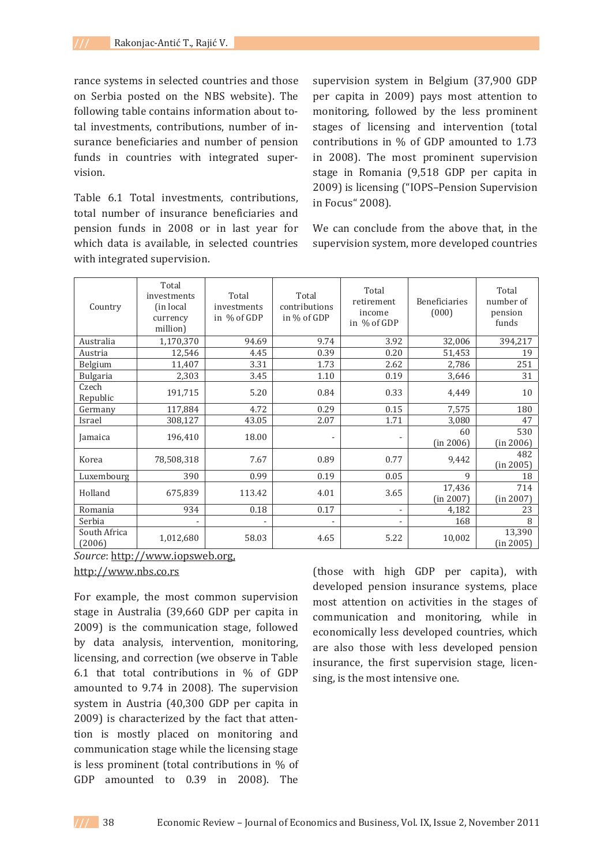rance systems in selected countries and those on Serbia posted on the NBS website). The following table contains information about total investments, contributions, number of insurance beneficiaries and number of pension funds in countries with integrated supervision.

Table 6.1 Total investments, contributions, total number of insurance beneficiaries and pension funds in 2008 or in last year for which data is available, in selected countries with integrated supervision.

supervision system in Belgium (37,900 GDP per capita in 2009) pays most attention to monitoring, followed by the less prominent stages of licensing and intervention (total contributions in % of GDP amounted to 1.73 in 2008). The most prominent supervision stage in Romania (9,518 GDP per capita in 2009) is licensing ("IOPS-Pension Supervision in Focus" 2008).

We can conclude from the above that, in the supervision system, more developed countries

| Country                | Total<br>investments<br>(in local)<br>currency<br>million) | Total<br>investments<br>in % of GDP | Total<br>contributions<br>in % of GDP | Total<br>retirement<br>income<br>in % of GDP | <b>Beneficiaries</b><br>(000) | Total<br>number of<br>pension<br>funds |
|------------------------|------------------------------------------------------------|-------------------------------------|---------------------------------------|----------------------------------------------|-------------------------------|----------------------------------------|
| Australia              | 1,170,370                                                  | 94.69                               | 9.74                                  | 3.92                                         | 32,006                        | 394,217                                |
| Austria                | 12,546                                                     | 4.45                                | 0.39                                  | 0.20                                         | 51,453                        | 19                                     |
| Belgium                | 11,407                                                     | 3.31                                | 1.73                                  | 2.62                                         | 2,786                         | 251                                    |
| Bulgaria               | 2,303                                                      | 3.45                                | 1.10                                  | 0.19                                         | 3,646                         | 31                                     |
| Czech<br>Republic      | 191,715                                                    | 5.20                                | 0.84                                  | 0.33                                         | 4,449                         | 10                                     |
| Germany                | 117,884                                                    | 4.72                                | 0.29                                  | 0.15                                         | 7,575                         | 180                                    |
| Israel                 | 308,127                                                    | 43.05                               | 2.07                                  | 1.71                                         | 3,080                         | 47                                     |
| <b>Jamaica</b>         | 196,410                                                    | 18.00                               |                                       |                                              | 60<br>(in 2006)               | 530<br>(in 2006)                       |
| Korea                  | 78,508,318                                                 | 7.67                                | 0.89                                  | 0.77                                         | 9,442                         | 482<br>(in 2005)                       |
| Luxembourg             | 390                                                        | 0.99                                | 0.19                                  | 0.05                                         | 9                             | 18                                     |
| Holland                | 675,839                                                    | 113.42                              | 4.01                                  | 3.65                                         | 17,436<br>(in 2007)           | 714<br>(in 2007)                       |
| Romania                | 934                                                        | 0.18                                | 0.17                                  |                                              | 4,182                         | 23                                     |
| Serbia                 |                                                            |                                     |                                       |                                              | 168                           | 8                                      |
| South Africa<br>(2006) | 1,012,680                                                  | 58.03                               | 4.65                                  | 5.22                                         | 10,002                        | 13,390<br>(in 2005)                    |

*Source*: http://www.iopsweb.org.

http://www.nbs.co.rs

For example, the most common supervision stage in Australia (39,660 GDP per capita in 2009) is the communication stage, followed by data analysis, intervention, monitoring, licensing, and correction (we observe in Table 6.1 that total contributions in % of GDP amounted to 9.74 in 2008). The supervision system in Austria (40,300 GDP per capita in 2009) is characterized by the fact that attention is mostly placed on monitoring and communication stage while the licensing stage is less prominent (total contributions in % of GDP amounted to 0.39 in 2008). The

(those with high GDP per capita), with developed pension insurance systems, place most attention on activities in the stages of communication and monitoring, while in economically less developed countries, which are also those with less developed pension insurance, the first supervision stage, licensing, is the most intensive one.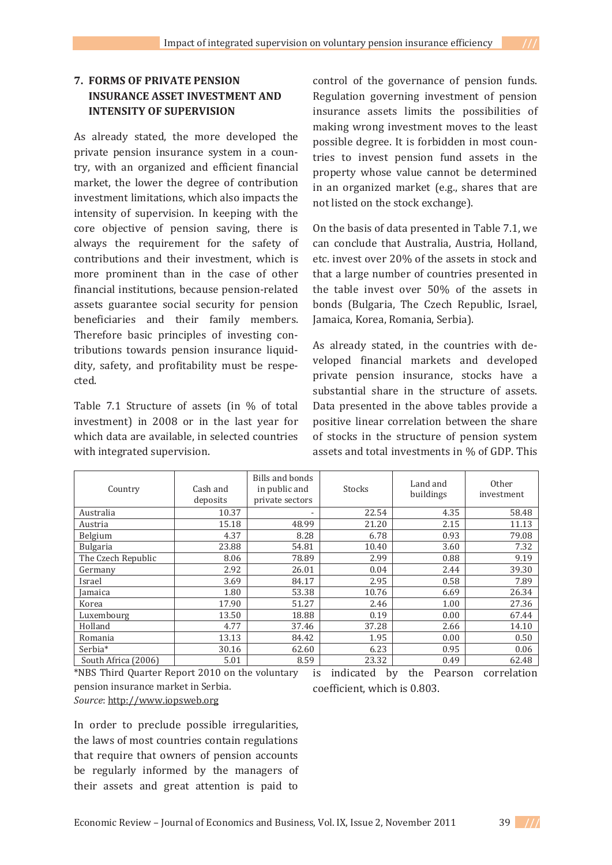### **7.FORMS OF PRIVATE PENSION INSURANCE ASSET INVESTMENT AND INTENSITY OF SUPERVISION**

As already stated, the more developed the private pension insurance system in a country, with an organized and efficient financial market, the lower the degree of contribution investment limitations, which also impacts the intensity of supervision. In keeping with the core objective of pension saving, there is always the requirement for the safety of contributions and their investment, which is more prominent than in the case of other financial institutions, because pension-related assets guarantee social security for pension beneficiaries and their family members. Therefore basic principles of investing contributions towards pension insurance liquiddity, safety, and profitability must be respected.

Table 7.1 Structure of assets (in % of total investment) in 2008 or in the last year for which data are available, in selected countries with integrated supervision.

control of the governance of pension funds. Regulation governing investment of pension insurance assets limits the possibilities of making wrong investment moves to the least possible degree. It is forbidden in most countries to invest pension fund assets in the property whose value cannot be determined in an organized market (e.g., shares that are not listed on the stock exchange).

On the basis of data presented in Table 7.1, we can conclude that Australia, Austria, Holland, etc. invest over 20% of the assets in stock and that a large number of countries presented in the table invest over 50% of the assets in bonds (Bulgaria, The Czech Republic, Israel, Jamaica, Korea, Romania, Serbia).

As already stated, in the countries with developed financial markets and developed private pension insurance, stocks have a substantial share in the structure of assets. Data presented in the above tables provide a positive linear correlation between the share of stocks in the structure of pension system assets and total investments in % of GDP. This

| Country             | Cash and<br>deposits | Bills and bonds<br>in public and<br>private sectors | <b>Stocks</b> | Land and<br>buildings | <b>Other</b><br>investment |
|---------------------|----------------------|-----------------------------------------------------|---------------|-----------------------|----------------------------|
| Australia           | 10.37                | ٠                                                   | 22.54         | 4.35                  | 58.48                      |
| Austria             | 15.18                | 48.99                                               | 21.20         | 2.15                  | 11.13                      |
| Belgium             | 4.37                 | 8.28                                                | 6.78          | 0.93                  | 79.08                      |
| Bulgaria            | 23.88                | 54.81                                               | 10.40         | 3.60                  | 7.32                       |
| The Czech Republic  | 8.06                 | 78.89                                               | 2.99          | 0.88                  | 9.19                       |
| Germany             | 2.92                 | 26.01                                               | 0.04          | 2.44                  | 39.30                      |
| Israel              | 3.69                 | 84.17                                               | 2.95          | 0.58                  | 7.89                       |
| Jamaica             | 1.80                 | 53.38                                               | 10.76         | 6.69                  | 26.34                      |
| Korea               | 17.90                | 51.27                                               | 2.46          | 1.00                  | 27.36                      |
| Luxembourg          | 13.50                | 18.88                                               | 0.19          | 0.00                  | 67.44                      |
| Holland             | 4.77                 | 37.46                                               | 37.28         | 2.66                  | 14.10                      |
| Romania             | 13.13                | 84.42                                               | 1.95          | 0.00                  | 0.50                       |
| Serbia*             | 30.16                | 62.60                                               | 6.23          | 0.95                  | 0.06                       |
| South Africa (2006) | 5.01                 | 8.59                                                | 23.32         | 0.49                  | 62.48                      |

\*NBS Third Quarter Report 2010 on the voluntary pension insurance market in Serbia. *Source*: http://www.iopsweb.org

In order to preclude possible irregularities, the laws of most countries contain regulations that require that owners of pension accounts be regularly informed by the managers of their assets and great attention is paid to

is indicated by the Pearson correlation coefficient, which is 0.803.

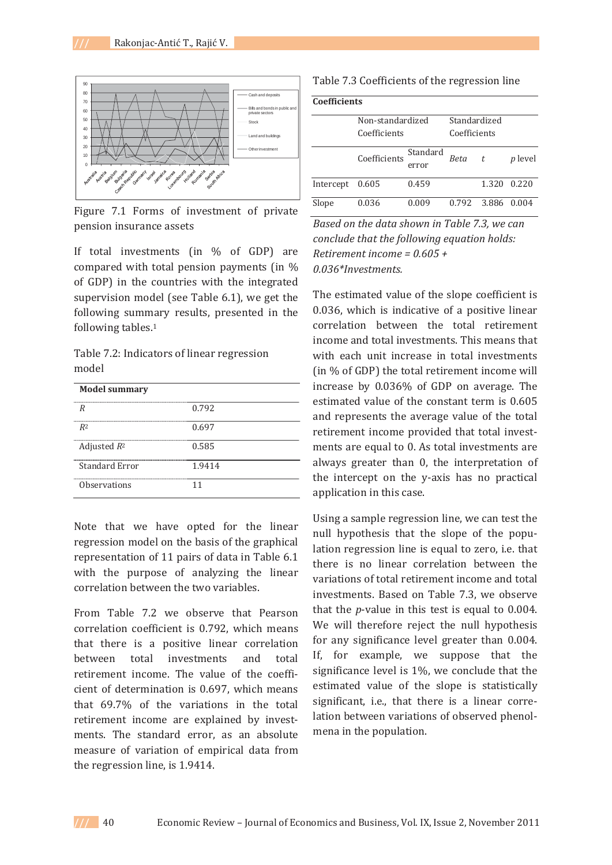

Figure 7.1 Forms of investment of private pension insurance assets

If total investments (in % of GDP) are compared with total pension payments (in % of GDP) in the countries with the integrated supervision model (see Table 6.1), we get the following summary results, presented in the following tables.<sup>1</sup>

Table 7.2: Indicators of linear regression model

| <b>Model summary</b> |        |
|----------------------|--------|
|                      | 0.792  |
| R2                   | 0.697  |
| Adjusted $R^2$       | 0.585  |
| Standard Error       | 1.9414 |
| Observations         | 11     |

Note that we have opted for the linear regression model on the basis of the graphical representation of 11 pairs of data in Table 6.1 with the purpose of analyzing the linear correlation between the two variables.

From Table 7.2 we observe that Pearson correlation coefficient is 0.792, which means that there is a positive linear correlation between total investments and total retirement income. The value of the coefficient of determination is 0.697, which means that 69.7% of the variations in the total retirement income are explained by investments. The standard error, as an absolute measure of variation of empirical data from the regression line, is 1.9414.

Table 7.3 Coefficients of the regression line

| <b>Coefficients</b> |                                  |                              |       |       |                |  |  |
|---------------------|----------------------------------|------------------------------|-------|-------|----------------|--|--|
|                     | Non-standardized<br>Coefficients | Standardized<br>Coefficients |       |       |                |  |  |
|                     | Coefficients                     | Standard<br>error            | Beta  | t.    | <i>p</i> level |  |  |
| Intercept           | 0.605                            | 0.459                        |       | 1.320 | 0.220          |  |  |
| Slope               | 0.036                            | 0.009                        | 0.792 | 3.886 | 0.004          |  |  |

*Based on the data shown in Table 7.3, we can conclude that the following equation holds: Retirement income = 0.605 + 0.036\*Investments.*

The estimated value of the slope coefficient is 0.036, which is indicative of a positive linear correlation between the total retirement income and total investments. This means that with each unit increase in total investments (in % of GDP) the total retirement income will increase by 0.036% of GDP on average. The estimated value of the constant term is 0.605 and represents the average value of the total retirement income provided that total investments are equal to 0. As total investments are always greater than 0, the interpretation of the intercept on the y-axis has no practical application in this case.

Using a sample regression line, we can test the null hypothesis that the slope of the population regression line is equal to zero, *i.e.* that there is no linear correlation between the variations of total retirement income and total investments. Based on Table 7.3, we observe that the *p*-value in this test is equal to  $0.004$ . We will therefore reject the null hypothesis for any significance level greater than 0.004. If, for example, we suppose that the significance level is  $1\%$ , we conclude that the estimated value of the slope is statistically significant, i.e., that there is a linear correlation between variations of observed phenolmena in the population.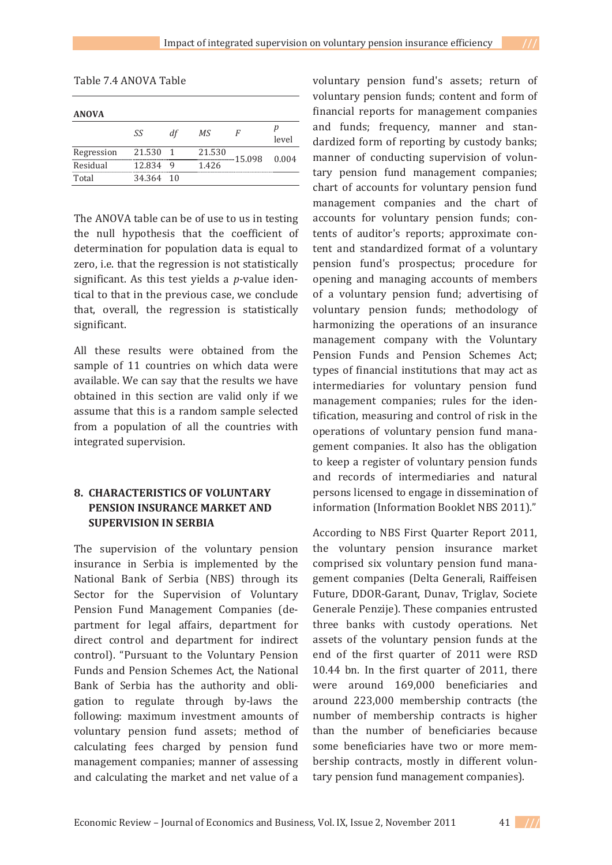| <b>ANOVA</b> |                                                  |                |        |        |       |
|--------------|--------------------------------------------------|----------------|--------|--------|-------|
|              | SS                                               | dt             | MS.    |        | level |
| Regression   | 21.530                                           | $\overline{1}$ | 21.530 | 15.098 | 0.004 |
| Residual     | 12.834                                           | ч              | 1.426  |        |       |
| Total        | ,,,,,,,,,,,,,,,,,,,,,,,,,,,,,,,,,,,<br>34.364 10 |                |        |        |       |

Table 7.4 ANOVA Table

The ANOVA table can be of use to us in testing the null hypothesis that the coefficient of determination for population data is equal to zero, i.e. that the regression is not statistically significant. As this test yields a  $p$ -value identical to that in the previous case, we conclude that, overall, the regression is statistically significant.

All these results were obtained from the sample of 11 countries on which data were available. We can say that the results we have obtained in this section are valid only if we assume that this is a random sample selected from a population of all the countries with integrated supervision.

### **8.CHARACTERISTICS OF VOLUNTARY PENSION INSURANCE MARKET AND SUPERVISION IN SERBIA**

The supervision of the voluntary pension insurance in Serbia is implemented by the National Bank of Serbia (NBS) through its Sector for the Supervision of Voluntary Pension Fund Management Companies (department for legal affairs, department for direct control and department for indirect control). "Pursuant to the Voluntary Pension Funds and Pension Schemes Act, the National Bank of Serbia has the authority and obligation to regulate through by-laws the following: maximum investment amounts of voluntary pension fund assets; method of calculating fees charged by pension fund management companies; manner of assessing and calculating the market and net value of a

voluntary pension fund's assets; return of voluntary pension funds; content and form of financial reports for management companies and funds; frequency, manner and standardized form of reporting by custody banks; manner of conducting supervision of voluntary pension fund management companies; chart of accounts for voluntary pension fund management companies and the chart of accounts for voluntary pension funds; contents of auditor's reports; approximate content and standardized format of a voluntary pension fund's prospectus; procedure for opening and managing accounts of members of a voluntary pension fund; advertising of voluntary pension funds; methodology of harmonizing the operations of an insurance management company with the Voluntary Pension Funds and Pension Schemes Act; types of financial institutions that may act as intermediaries for voluntary pension fund management companies; rules for the identification, measuring and control of risk in the operations of voluntary pension fund management companies. It also has the obligation to keep a register of voluntary pension funds and records of intermediaries and natural persons licensed to engage in dissemination of information (Information Booklet NBS 2011)."

According to NBS First Quarter Report 2011, the voluntary pension insurance market comprised six voluntary pension fund management companies (Delta Generali, Raiffeisen Future, DDOR-Garant, Dunav, Triglav, Societe Generale Penzije). These companies entrusted three banks with custody operations. Net assets of the voluntary pension funds at the end of the first quarter of 2011 were RSD  $10.44$  bn. In the first quarter of 2011, there were around 169,000 beneficiaries and around 223,000 membership contracts (the number of membership contracts is higher than the number of beneficiaries because some beneficiaries have two or more membership contracts, mostly in different voluntary pension fund management companies).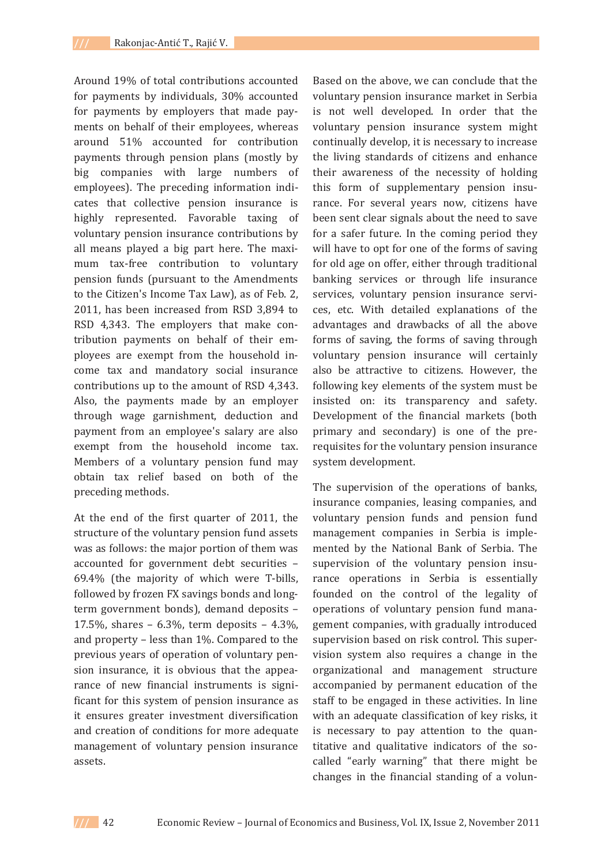Around 19% of total contributions accounted for payments by individuals, 30% accounted for payments by employers that made payments on behalf of their employees, whereas around 51% accounted for contribution payments through pension plans (mostly by big companies with large numbers of employees). The preceding information indicates that collective pension insurance is highly represented. Favorable taxing of voluntary pension insurance contributions by all means played a big part here. The maximum tax-free contribution to voluntary pension funds (pursuant to the Amendments to the Citizen's Income Tax Law), as of Feb. 2, 2011, has been increased from RSD 3,894 to RSD 4,343. The employers that make contribution payments on behalf of their employees are exempt from the household income tax and mandatory social insurance contributions up to the amount of RSD 4,343. Also, the payments made by an employer through wage garnishment, deduction and payment from an employee's salary are also exempt from the household income tax. Members of a voluntary pension fund may obtain tax relief based on both of the preceding methods.

At the end of the first quarter of 2011, the structure of the voluntary pension fund assets was as follows: the major portion of them was accounted for government debt securities -69.4% (the majority of which were T-bills, followed by frozen FX savings bonds and longterm government bonds), demand deposits - $17.5\%$ , shares  $-6.3\%$ , term deposits  $-4.3\%$ , and property - less than 1%. Compared to the previous years of operation of voluntary pension insurance, it is obvious that the appearance of new financial instruments is significant for this system of pension insurance as it ensures greater investment diversification and creation of conditions for more adequate management of voluntary pension insurance assets.

Based on the above, we can conclude that the voluntary pension insurance market in Serbia is not well developed. In order that the voluntary pension insurance system might continually develop, it is necessary to increase the living standards of citizens and enhance their awareness of the necessity of holding this form of supplementary pension insurance. For several years now, citizens have been sent clear signals about the need to save for a safer future. In the coming period they will have to opt for one of the forms of saving for old age on offer, either through traditional banking services or through life insurance services, voluntary pension insurance services, etc. With detailed explanations of the advantages and drawbacks of all the above forms of saving, the forms of saving through voluntary pension insurance will certainly also be attractive to citizens. However, the following key elements of the system must be insisted on: its transparency and safety. Development of the financial markets (both primary and secondary) is one of the prerequisites for the voluntary pension insurance system development.

The supervision of the operations of banks, insurance companies, leasing companies, and voluntary pension funds and pension fund management companies in Serbia is implemented by the National Bank of Serbia. The supervision of the voluntary pension insurance operations in Serbia is essentially founded on the control of the legality of operations of voluntary pension fund management companies, with gradually introduced supervision based on risk control. This supervision system also requires a change in the organizational and management structure accompanied by permanent education of the staff to be engaged in these activities. In line with an adequate classification of key risks, it is necessary to pay attention to the quantitative and qualitative indicators of the socalled "early warning" that there might be changes in the financial standing of a volun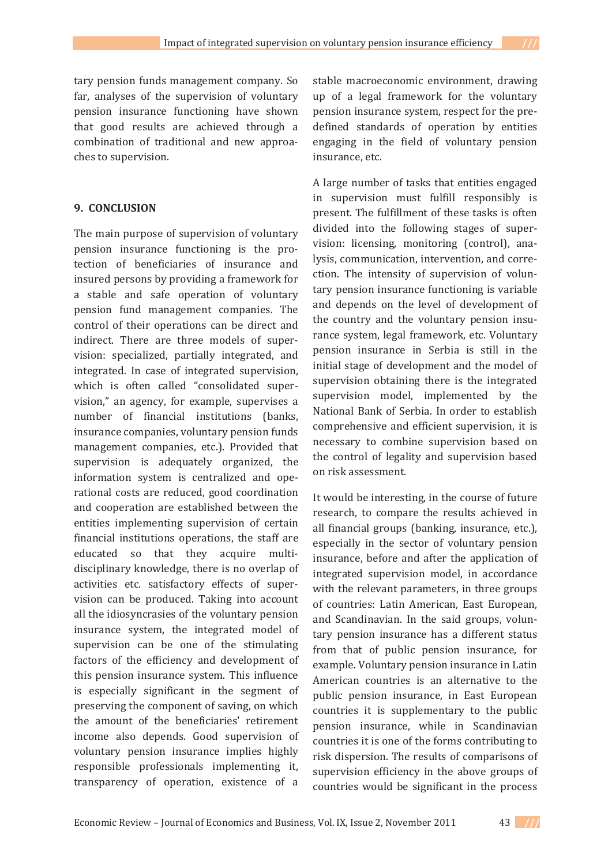tary pension funds management company. So far, analyses of the supervision of voluntary pension insurance functioning have shown that good results are achieved through a combination of traditional and new approaches to supervision.

#### **9.CONCLUSION**

The main purpose of supervision of voluntary pension insurance functioning is the protection of beneficiaries of insurance and insured persons by providing a framework for a stable and safe operation of voluntary pension fund management companies. The control of their operations can be direct and indirect. There are three models of supervision: specialized, partially integrated, and integrated. In case of integrated supervision, which is often called "consolidated supervision," an agency, for example, supervises a number of financial institutions (banks, insurance companies, voluntary pension funds management companies, etc.). Provided that supervision is adequately organized, the information system is centralized and operational costs are reduced, good coordination and cooperation are established between the entities implementing supervision of certain financial institutions operations, the staff are educated so that they acquire multidisciplinary knowledge, there is no overlap of activities etc. satisfactory effects of supervision can be produced. Taking into account all the idiosyncrasies of the voluntary pension insurance system, the integrated model of supervision can be one of the stimulating factors of the efficiency and development of this pension insurance system. This influence is especially significant in the segment of preserving the component of saving, on which the amount of the beneficiaries' retirement income also depends. Good supervision of voluntary pension insurance implies highly responsible professionals implementing it, transparency of operation, existence of a

stable macroeconomic environment, drawing up of a legal framework for the voluntary pension insurance system, respect for the predefined standards of operation by entities engaging in the field of voluntary pension insurance, etc.

A large number of tasks that entities engaged in supervision must fulfill responsibly is present. The fulfillment of these tasks is often divided into the following stages of supervision: licensing, monitoring (control), analysis, communication, intervention, and correction. The intensity of supervision of voluntary pension insurance functioning is variable and depends on the level of development of the country and the voluntary pension insurance system, legal framework, etc. Voluntary pension insurance in Serbia is still in the initial stage of development and the model of supervision obtaining there is the integrated supervision model, implemented by the National Bank of Serbia. In order to establish comprehensive and efficient supervision, it is necessary to combine supervision based on the control of legality and supervision based on risk assessment.

It would be interesting, in the course of future research, to compare the results achieved in all financial groups (banking, insurance, etc.), especially in the sector of voluntary pension insurance, before and after the application of integrated supervision model, in accordance with the relevant parameters, in three groups of countries: Latin American, East European, and Scandinavian. In the said groups, voluntary pension insurance has a different status from that of public pension insurance, for example. Voluntary pension insurance in Latin American countries is an alternative to the public pension insurance, in East European countries it is supplementary to the public pension insurance, while in Scandinavian countries it is one of the forms contributing to risk dispersion. The results of comparisons of supervision efficiency in the above groups of countries would be significant in the process